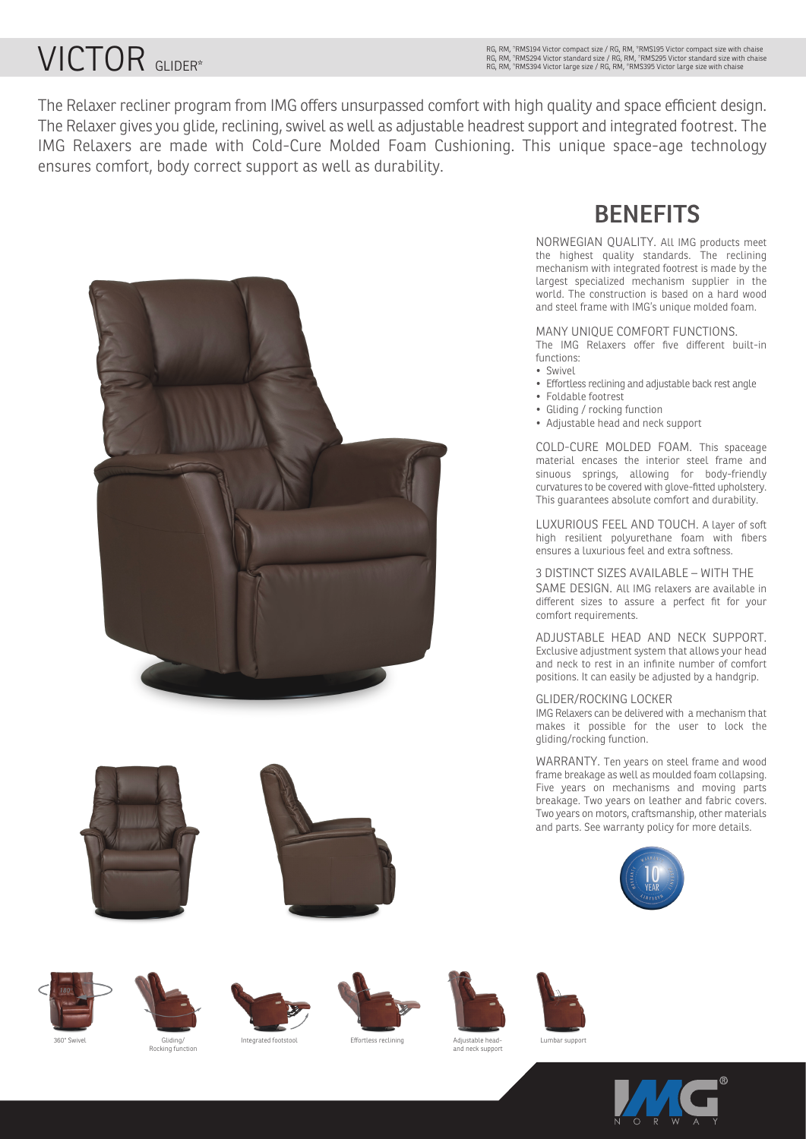# VICTOR GLIDER\*

The Relaxer recliner program from IMG offers unsurpassed comfort with high quality and space efficient design. The Relaxer gives you glide, reclining, swivel as well as adjustable headrest support and integrated footrest. The IMG Relaxers are made with Cold-Cure Molded Foam Cushioning. This unique space-age technology ensures comfort, body correct support as well as durability.









rocking ful.<br>انا







Lumbar support



MANY UNIQUE COMFORT FUNCTIONS.

**BENEFITS**

NORWEGIAN QUALITY. All IMG products meet the highest quality standards. The reclining

The IMG Relaxers offer five different built-in functions:

- Swivel
- Effortless reclining and adjustable back rest angle
- Foldable footrest
- Gliding / rocking function
- Adjustable head and neck support

COLD-CURE MOLDED FOAM. This spaceage material encases the interior steel frame and sinuous springs, allowing for body-friendly curvatures to be covered with glove-fitted upholstery. This guarantees absolute comfort and durability.

LUXURIOUS FEEL AND TOUCH. A layer of soft high resilient polyurethane foam with fibers ensures a luxurious feel and extra softness.

### 3 DISTINCT SIZES AVAILABLE – WITH THE

SAME DESIGN. All IMG relaxers are available in different sizes to assure a perfect fit for your comfort requirements.

ADJUSTABLE HEAD AND NECK SUPPORT. Exclusive adjustment system that allows your head and neck to rest in an infinite number of comfort positions. It can easily be adjusted by a handgrip.

#### GLIDER/ROCKING LOCKER

IMG Relaxers can be delivered with a mechanism that makes it possible for the user to lock the gliding/rocking function.

WARRANTY. Ten years on steel frame and wood frame breakage as well as moulded foam collapsing. Five years on mechanisms and moving parts breakage. Two years on leather and fabric covers. Two years on motors, craftsmanship, other materials and parts. See warranty policy for more details.





360° Swivel Gliding/ Integrated footstool Effortless reclining

Adjustable head-and neck support